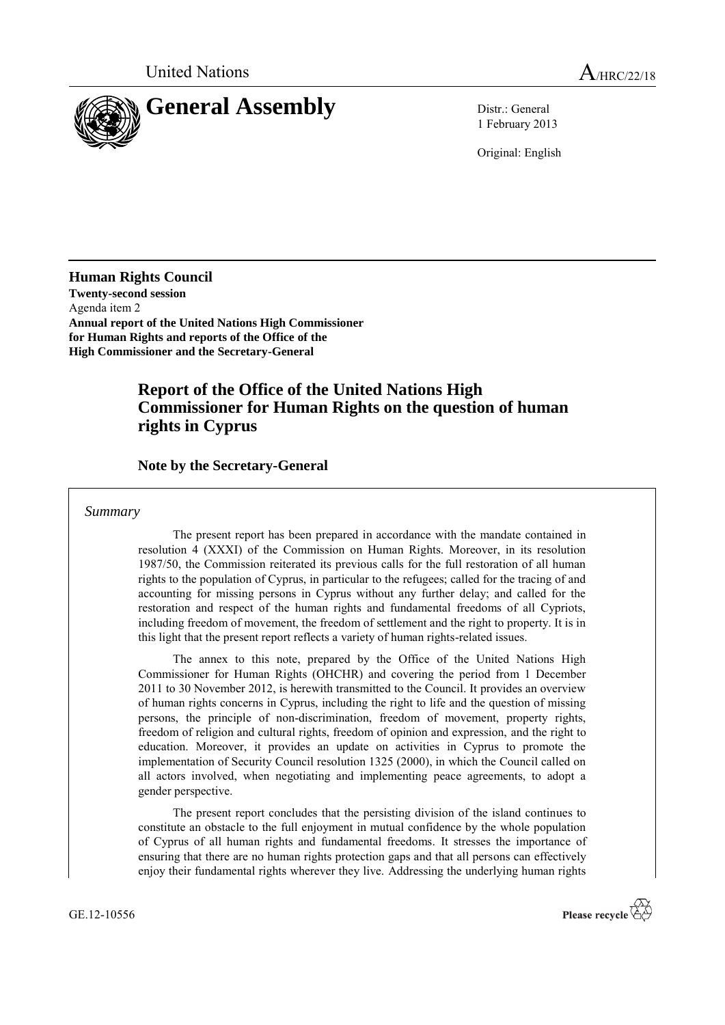

1 February 2013

Original: English

**Human Rights Council Twenty-second session** Agenda item 2 **Annual report of the United Nations High Commissioner for Human Rights and reports of the Office of the High Commissioner and the Secretary-General** 

## **Report of the Office of the United Nations High Commissioner for Human Rights on the question of human rights in Cyprus**

## **Note by the Secretary-General**

#### *Summary*

The present report has been prepared in accordance with the mandate contained in resolution 4 (XXXI) of the Commission on Human Rights. Moreover, in its resolution 1987/50, the Commission reiterated its previous calls for the full restoration of all human rights to the population of Cyprus, in particular to the refugees; called for the tracing of and accounting for missing persons in Cyprus without any further delay; and called for the restoration and respect of the human rights and fundamental freedoms of all Cypriots, including freedom of movement, the freedom of settlement and the right to property. It is in this light that the present report reflects a variety of human rights-related issues.

The annex to this note, prepared by the Office of the United Nations High Commissioner for Human Rights (OHCHR) and covering the period from 1 December 2011 to 30 November 2012, is herewith transmitted to the Council. It provides an overview of human rights concerns in Cyprus, including the right to life and the question of missing persons, the principle of non-discrimination, freedom of movement, property rights, freedom of religion and cultural rights, freedom of opinion and expression, and the right to education. Moreover, it provides an update on activities in Cyprus to promote the implementation of Security Council resolution 1325 (2000), in which the Council called on all actors involved, when negotiating and implementing peace agreements, to adopt a gender perspective.

The present report concludes that the persisting division of the island continues to constitute an obstacle to the full enjoyment in mutual confidence by the whole population of Cyprus of all human rights and fundamental freedoms. It stresses the importance of ensuring that there are no human rights protection gaps and that all persons can effectively enjoy their fundamental rights wherever they live. Addressing the underlying human rights

GE.12-10556

Please recycle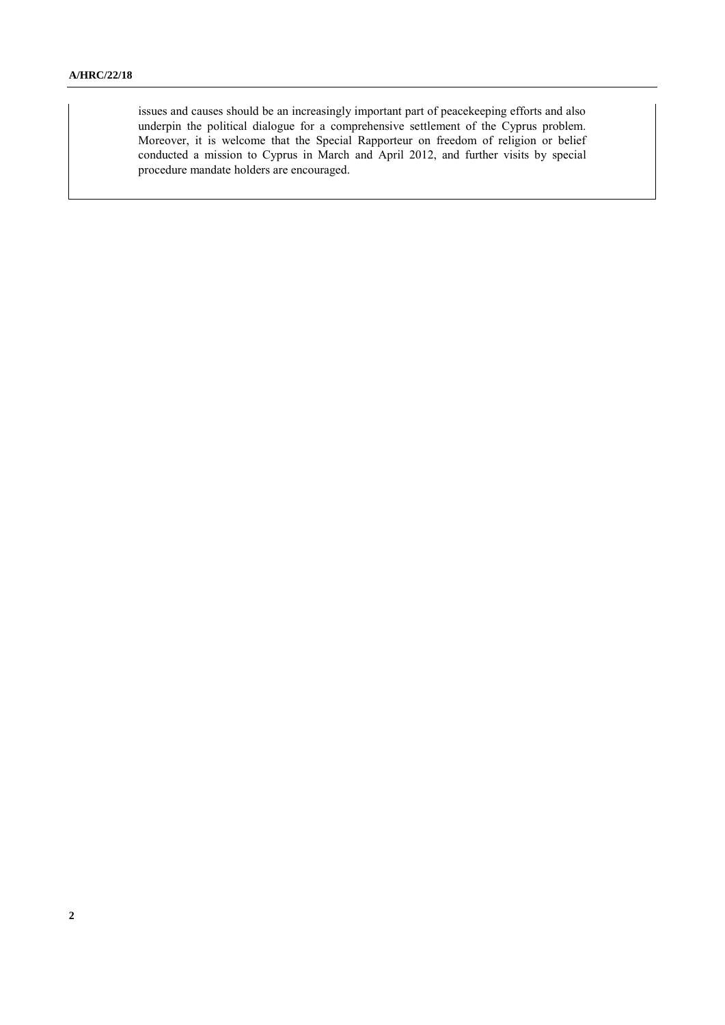issues and causes should be an increasingly important part of peacekeeping efforts and also underpin the political dialogue for a comprehensive settlement of the Cyprus problem. Moreover, it is welcome that the Special Rapporteur on freedom of religion or belief conducted a mission to Cyprus in March and April 2012, and further visits by special procedure mandate holders are encouraged.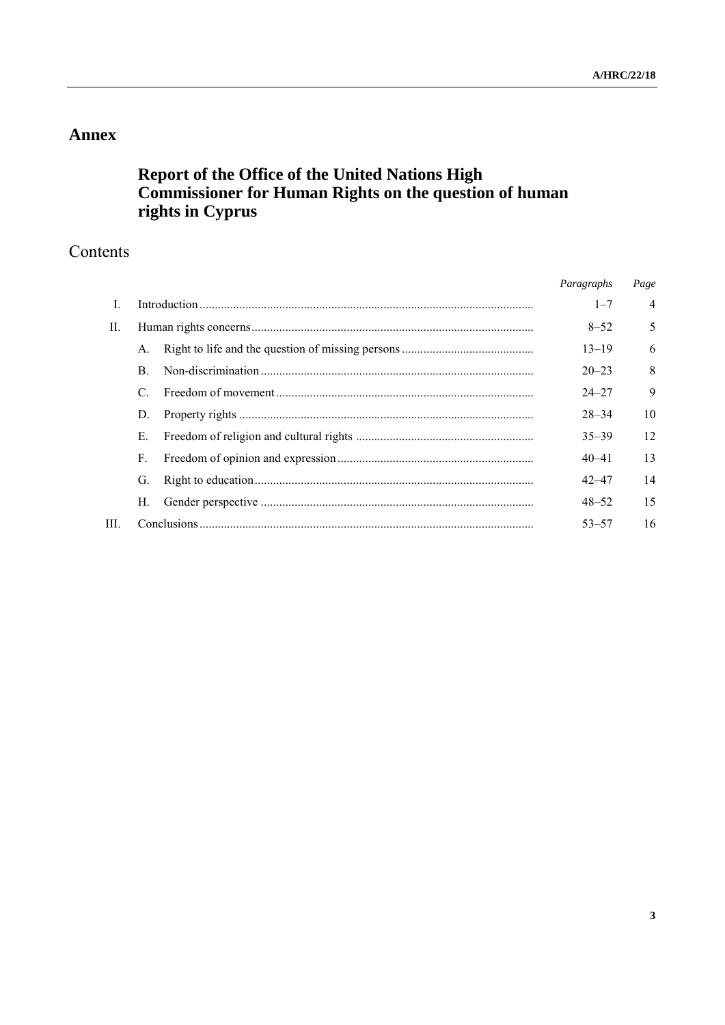# **Annex**

# **Report of the Office of the United Nations High Commissioner for Human Rights on the question of human rights in Cyprus**

# Contents

|     |              |  | Paragraphs | Page           |
|-----|--------------|--|------------|----------------|
|     |              |  | $1 - 7$    | $\overline{4}$ |
| II. |              |  | $8 - 52$   | 5              |
|     | A.           |  | $13 - 19$  | 6              |
|     | <sub>B</sub> |  | $20 - 23$  | 8              |
|     | C            |  | $24 - 27$  | 9              |
|     | D.           |  | $28 - 34$  | 10             |
|     | E.           |  | $35 - 39$  | 12             |
|     | F.           |  | $40 - 41$  | 13             |
|     | G.           |  | $42 - 47$  | 14             |
|     | Н.           |  | $48 - 52$  | 15             |
| HL. |              |  | $53 - 57$  | 16             |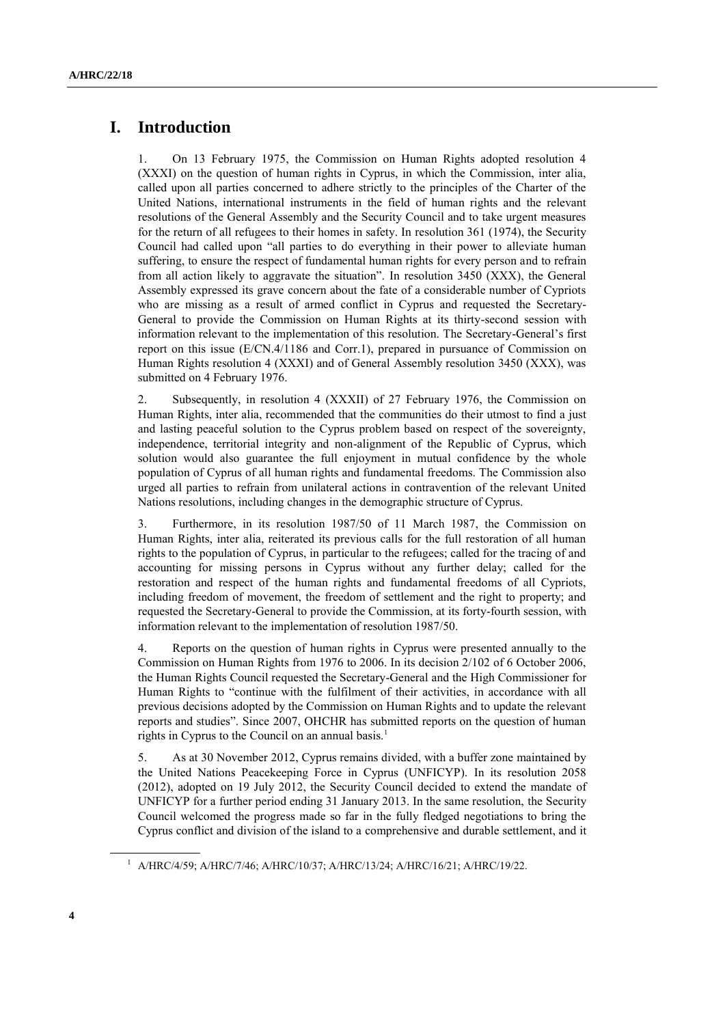## **I. Introduction**

1. On 13 February 1975, the Commission on Human Rights adopted resolution 4 (XXXI) on the question of human rights in Cyprus, in which the Commission, inter alia, called upon all parties concerned to adhere strictly to the principles of the Charter of the United Nations, international instruments in the field of human rights and the relevant resolutions of the General Assembly and the Security Council and to take urgent measures for the return of all refugees to their homes in safety. In resolution 361 (1974), the Security Council had called upon "all parties to do everything in their power to alleviate human suffering, to ensure the respect of fundamental human rights for every person and to refrain from all action likely to aggravate the situation". In resolution 3450 (XXX), the General Assembly expressed its grave concern about the fate of a considerable number of Cypriots who are missing as a result of armed conflict in Cyprus and requested the Secretary-General to provide the Commission on Human Rights at its thirty-second session with information relevant to the implementation of this resolution. The Secretary-General's first report on this issue (E/CN.4/1186 and Corr.1), prepared in pursuance of Commission on Human Rights resolution 4 (XXXI) and of General Assembly resolution 3450 (XXX), was submitted on 4 February 1976.

2. Subsequently, in resolution 4 (XXXII) of 27 February 1976, the Commission on Human Rights, inter alia, recommended that the communities do their utmost to find a just and lasting peaceful solution to the Cyprus problem based on respect of the sovereignty, independence, territorial integrity and non-alignment of the Republic of Cyprus, which solution would also guarantee the full enjoyment in mutual confidence by the whole population of Cyprus of all human rights and fundamental freedoms. The Commission also urged all parties to refrain from unilateral actions in contravention of the relevant United Nations resolutions, including changes in the demographic structure of Cyprus.

3. Furthermore, in its resolution 1987/50 of 11 March 1987, the Commission on Human Rights, inter alia, reiterated its previous calls for the full restoration of all human rights to the population of Cyprus, in particular to the refugees; called for the tracing of and accounting for missing persons in Cyprus without any further delay; called for the restoration and respect of the human rights and fundamental freedoms of all Cypriots, including freedom of movement, the freedom of settlement and the right to property; and requested the Secretary-General to provide the Commission, at its forty-fourth session, with information relevant to the implementation of resolution 1987/50.

4. Reports on the question of human rights in Cyprus were presented annually to the Commission on Human Rights from 1976 to 2006. In its decision 2/102 of 6 October 2006, the Human Rights Council requested the Secretary-General and the High Commissioner for Human Rights to "continue with the fulfilment of their activities, in accordance with all previous decisions adopted by the Commission on Human Rights and to update the relevant reports and studies". Since 2007, OHCHR has submitted reports on the question of human rights in Cyprus to the Council on an annual basis.<sup>1</sup>

5. As at 30 November 2012, Cyprus remains divided, with a buffer zone maintained by the United Nations Peacekeeping Force in Cyprus (UNFICYP). In its resolution 2058 (2012), adopted on 19 July 2012, the Security Council decided to extend the mandate of UNFICYP for a further period ending 31 January 2013. In the same resolution, the Security Council welcomed the progress made so far in the fully fledged negotiations to bring the Cyprus conflict and division of the island to a comprehensive and durable settlement, and it

<sup>&</sup>lt;sup>1</sup> A/HRC/4/59; A/HRC/7/46; A/HRC/10/37; A/HRC/13/24; A/HRC/16/21; A/HRC/19/22.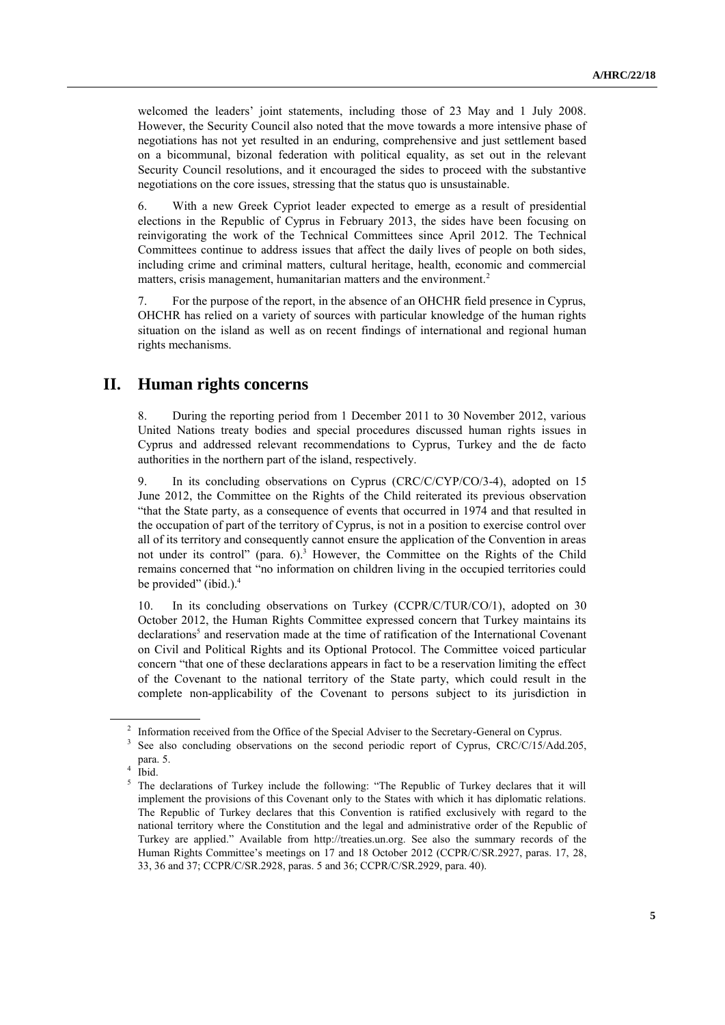welcomed the leaders' joint statements, including those of 23 May and 1 July 2008. However, the Security Council also noted that the move towards a more intensive phase of negotiations has not yet resulted in an enduring, comprehensive and just settlement based on a bicommunal, bizonal federation with political equality, as set out in the relevant Security Council resolutions, and it encouraged the sides to proceed with the substantive negotiations on the core issues, stressing that the status quo is unsustainable.

6. With a new Greek Cypriot leader expected to emerge as a result of presidential elections in the Republic of Cyprus in February 2013, the sides have been focusing on reinvigorating the work of the Technical Committees since April 2012. The Technical Committees continue to address issues that affect the daily lives of people on both sides, including crime and criminal matters, cultural heritage, health, economic and commercial matters, crisis management, humanitarian matters and the environment.<sup>2</sup>

7. For the purpose of the report, in the absence of an OHCHR field presence in Cyprus, OHCHR has relied on a variety of sources with particular knowledge of the human rights situation on the island as well as on recent findings of international and regional human rights mechanisms.

## **II. Human rights concerns**

8. During the reporting period from 1 December 2011 to 30 November 2012, various United Nations treaty bodies and special procedures discussed human rights issues in Cyprus and addressed relevant recommendations to Cyprus, Turkey and the de facto authorities in the northern part of the island, respectively.

9. In its concluding observations on Cyprus (CRC/C/CYP/CO/3-4), adopted on 15 June 2012, the Committee on the Rights of the Child reiterated its previous observation "that the State party, as a consequence of events that occurred in 1974 and that resulted in the occupation of part of the territory of Cyprus, is not in a position to exercise control over all of its territory and consequently cannot ensure the application of the Convention in areas not under its control" (para. 6). <sup>3</sup> However, the Committee on the Rights of the Child remains concerned that "no information on children living in the occupied territories could be provided" (ibid.). 4

10. In its concluding observations on Turkey (CCPR/C/TUR/CO/1), adopted on 30 October 2012, the Human Rights Committee expressed concern that Turkey maintains its declarations<sup>5</sup> and reservation made at the time of ratification of the International Covenant on Civil and Political Rights and its Optional Protocol. The Committee voiced particular concern "that one of these declarations appears in fact to be a reservation limiting the effect of the Covenant to the national territory of the State party, which could result in the complete non-applicability of the Covenant to persons subject to its jurisdiction in

<sup>&</sup>lt;sup>2</sup> Information received from the Office of the Special Adviser to the Secretary-General on Cyprus.

<sup>3</sup> See also concluding observations on the second periodic report of Cyprus, CRC/C/15/Add.205, para. 5.

<sup>4</sup> Ibid.

<sup>5</sup> The declarations of Turkey include the following: "The Republic of Turkey declares that it will implement the provisions of this Covenant only to the States with which it has diplomatic relations. The Republic of Turkey declares that this Convention is ratified exclusively with regard to the national territory where the Constitution and the legal and administrative order of the Republic of Turkey are applied." Available from [http://treaties.un.org.](http://treaties.un.org/) See also the summary records of the Human Rights Committee's meetings on 17 and 18 October 2012 (CCPR/C/SR.2927, paras. 17, 28, 33, 36 and 37; CCPR/C/SR.2928, paras. 5 and 36; CCPR/C/SR.2929, para. 40).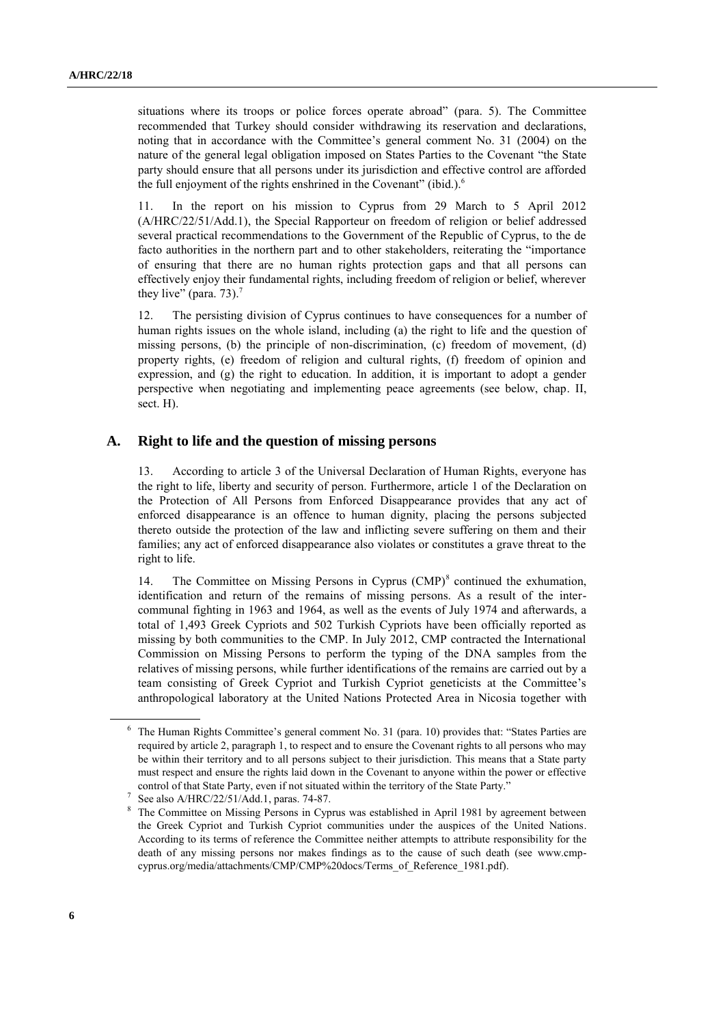situations where its troops or police forces operate abroad" (para. 5). The Committee recommended that Turkey should consider withdrawing its reservation and declarations, noting that in accordance with the Committee's general comment No. 31 (2004) on the nature of the general legal obligation imposed on States Parties to the Covenant "the State party should ensure that all persons under its jurisdiction and effective control are afforded the full enjoyment of the rights enshrined in the Covenant" (ibid.). $<sup>6</sup>$ </sup>

11. In the report on his mission to Cyprus from 29 March to 5 April 2012 (A/HRC/22/51/Add.1), the Special Rapporteur on freedom of religion or belief addressed several practical recommendations to the Government of the Republic of Cyprus, to the de facto authorities in the northern part and to other stakeholders, reiterating the "importance of ensuring that there are no human rights protection gaps and that all persons can effectively enjoy their fundamental rights, including freedom of religion or belief, wherever they live" (para. 73).<sup>7</sup>

12. The persisting division of Cyprus continues to have consequences for a number of human rights issues on the whole island, including (a) the right to life and the question of missing persons, (b) the principle of non-discrimination, (c) freedom of movement, (d) property rights, (e) freedom of religion and cultural rights, (f) freedom of opinion and expression, and (g) the right to education. In addition, it is important to adopt a gender perspective when negotiating and implementing peace agreements (see below, chap. II, sect. H).

#### **A. Right to life and the question of missing persons**

13. According to article 3 of the Universal Declaration of Human Rights, everyone has the right to life, liberty and security of person. Furthermore, article 1 of the Declaration on the Protection of All Persons from Enforced Disappearance provides that any act of enforced disappearance is an offence to human dignity, placing the persons subjected thereto outside the protection of the law and inflicting severe suffering on them and their families; any act of enforced disappearance also violates or constitutes a grave threat to the right to life.

14. The Committee on Missing Persons in Cyprus (CMP)<sup>8</sup> continued the exhumation, identification and return of the remains of missing persons. As a result of the intercommunal fighting in 1963 and 1964, as well as the events of July 1974 and afterwards, a total of 1,493 Greek Cypriots and 502 Turkish Cypriots have been officially reported as missing by both communities to the CMP. In July 2012, CMP contracted the International Commission on Missing Persons to perform the typing of the DNA samples from the relatives of missing persons, while further identifications of the remains are carried out by a team consisting of Greek Cypriot and Turkish Cypriot geneticists at the Committee's anthropological laboratory at the United Nations Protected Area in Nicosia together with

<sup>6</sup> The Human Rights Committee's general comment No. 31 (para. 10) provides that: "States Parties are required by article 2, paragraph 1, to respect and to ensure the Covenant rights to all persons who may be within their territory and to all persons subject to their jurisdiction. This means that a State party must respect and ensure the rights laid down in the Covenant to anyone within the power or effective control of that State Party, even if not situated within the territory of the State Party."

<sup>7</sup> See also A/HRC/22/51/Add.1, paras. 74-87.

<sup>8</sup> The Committee on Missing Persons in Cyprus was established in April 1981 by agreement between the Greek Cypriot and Turkish Cypriot communities under the auspices of the United Nations. According to its terms of reference the Committee neither attempts to attribute responsibility for the death of any missing persons nor makes findings as to the cause of such death (see [www.cmp](http://www.cmp-cyprus.org/media/attachments/CMP/CMP%20docs/Terms_of_Reference_1981.pdf)[cyprus.org/media/attachments/CMP/CMP%20docs/Terms\\_of\\_Reference\\_1981.pdf\)](http://www.cmp-cyprus.org/media/attachments/CMP/CMP%20docs/Terms_of_Reference_1981.pdf).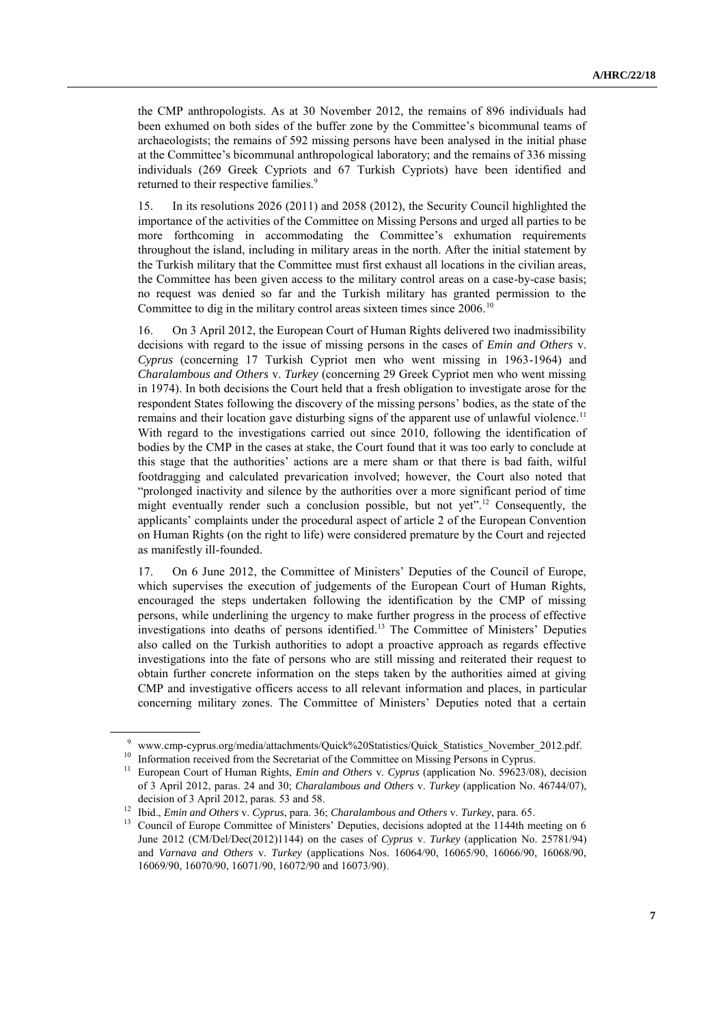the CMP anthropologists. As at 30 November 2012, the remains of 896 individuals had been exhumed on both sides of the buffer zone by the Committee's bicommunal teams of archaeologists; the remains of 592 missing persons have been analysed in the initial phase at the Committee's bicommunal anthropological laboratory; and the remains of 336 missing individuals (269 Greek Cypriots and 67 Turkish Cypriots) have been identified and returned to their respective families.<sup>9</sup>

15. In its resolutions 2026 (2011) and 2058 (2012), the Security Council highlighted the importance of the activities of the Committee on Missing Persons and urged all parties to be more forthcoming in accommodating the Committee's exhumation requirements throughout the island, including in military areas in the north. After the initial statement by the Turkish military that the Committee must first exhaust all locations in the civilian areas, the Committee has been given access to the military control areas on a case-by-case basis; no request was denied so far and the Turkish military has granted permission to the Committee to dig in the military control areas sixteen times since  $2006$ <sup>10</sup>

16. On 3 April 2012, the European Court of Human Rights delivered two inadmissibility decisions with regard to the issue of missing persons in the cases of *Emin and Others* v. *Cyprus* (concerning 17 Turkish Cypriot men who went missing in 1963-1964) and *Charalambous and Others* v. *Turkey* (concerning 29 Greek Cypriot men who went missing in 1974). In both decisions the Court held that a fresh obligation to investigate arose for the respondent States following the discovery of the missing persons' bodies, as the state of the remains and their location gave disturbing signs of the apparent use of unlawful violence.<sup>11</sup> With regard to the investigations carried out since 2010, following the identification of bodies by the CMP in the cases at stake, the Court found that it was too early to conclude at this stage that the authorities' actions are a mere sham or that there is bad faith, wilful footdragging and calculated prevarication involved; however, the Court also noted that "prolonged inactivity and silence by the authorities over a more significant period of time might eventually render such a conclusion possible, but not yet".<sup>12</sup> Consequently, the applicants' complaints under the procedural aspect of article 2 of the European Convention on Human Rights (on the right to life) were considered premature by the Court and rejected as manifestly ill-founded.

17. On 6 June 2012, the Committee of Ministers' Deputies of the Council of Europe, which supervises the execution of judgements of the European Court of Human Rights, encouraged the steps undertaken following the identification by the CMP of missing persons, while underlining the urgency to make further progress in the process of effective investigations into deaths of persons identified.<sup>13</sup> The Committee of Ministers' Deputies also called on the Turkish authorities to adopt a proactive approach as regards effective investigations into the fate of persons who are still missing and reiterated their request to obtain further concrete information on the steps taken by the authorities aimed at giving CMP and investigative officers access to all relevant information and places, in particular concerning military zones. The Committee of Ministers' Deputies noted that a certain

[www.cmp-cyprus.org/media/attachments/Quick%20Statistics/Quick\\_Statistics\\_November\\_2012.pdf.](http://www.cmp-cyprus.org/media/attachments/Quick%20Statistics/Quick_Statistics_November_2012.pdf)

<sup>&</sup>lt;sup>10</sup> Information received from the Secretariat of the Committee on Missing Persons in Cyprus.

<sup>&</sup>lt;sup>11</sup> European Court of Human Rights, *Emin and Others v. Cyprus* (application No. 59623/08), decision of 3 April 2012, paras. 24 and 30; *Charalambous and Others* v. *Turkey* (application No. 46744/07), decision of 3 April 2012, paras. 53 and 58.

<sup>12</sup> Ibid., *Emin and Others* v. *Cyprus*, para. 36; *Charalambous and Others* v. *Turkey*, para. 65.

<sup>&</sup>lt;sup>13</sup> Council of Europe Committee of Ministers' Deputies, decisions adopted at the 1144th meeting on 6 [June 2012 \(CM/Del/Dec\(2012\)1144\) on the cases of](http://www.cmp-cyprus.org/media/attachments/Quick%20Statistics/Quick_Statistics_October_2012.pdf) *Cyprus* v. *Turkey* (application No. 25781/94) and *Varnava and Others* v. *Turkey* [\(applications Nos. 16064/90, 16065/90, 16066/90, 16068/90,](http://www.cmp-cyprus.org/media/attachments/Quick%20Statistics/Quick_Statistics_October_2012.pdf)  [16069/90, 16070/90, 16071/90, 16072/90 and 16073/90\).](http://www.cmp-cyprus.org/media/attachments/Quick%20Statistics/Quick_Statistics_October_2012.pdf)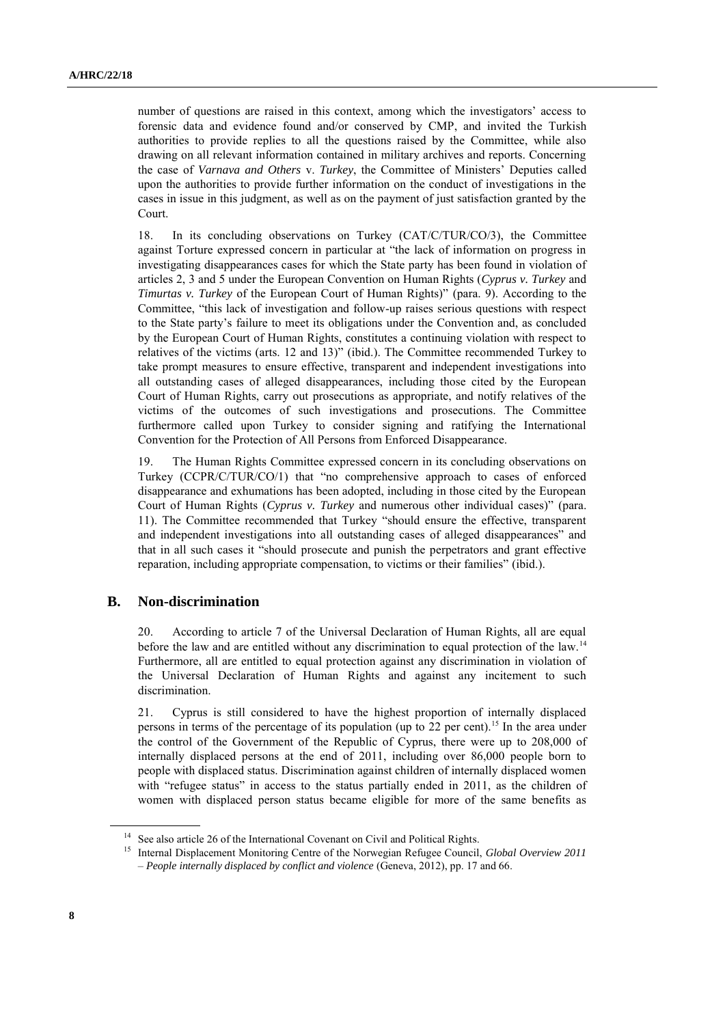number of questions are raised in this context, among which the investigators' access to forensic data and evidence found and/or conserved by CMP, and invited the Turkish authorities to provide replies to all the questions raised by the Committee, while also drawing on all relevant information contained in military archives and reports. Concerning the case of *Varnava and Others* v. *Turkey*, the Committee of Ministers' Deputies called upon the authorities to provide further information on the conduct of investigations in the cases in issue in this judgment, as well as on the payment of just satisfaction granted by the Court.

18. In its concluding observations on Turkey (CAT/C/TUR/CO/3), the Committee against Torture expressed concern in particular at "the lack of information on progress in investigating disappearances cases for which the State party has been found in violation of articles 2, 3 and 5 under the European Convention on Human Rights (*Cyprus v. Turkey* and *Timurtas v. Turkey* of the European Court of Human Rights)" (para. 9). According to the Committee, "this lack of investigation and follow-up raises serious questions with respect to the State party's failure to meet its obligations under the Convention and, as concluded by the European Court of Human Rights, constitutes a continuing violation with respect to relatives of the victims (arts. 12 and 13)" (ibid.). The Committee recommended Turkey to take prompt measures to ensure effective, transparent and independent investigations into all outstanding cases of alleged disappearances, including those cited by the European Court of Human Rights, carry out prosecutions as appropriate, and notify relatives of the victims of the outcomes of such investigations and prosecutions. The Committee furthermore called upon Turkey to consider signing and ratifying the International Convention for the Protection of All Persons from Enforced Disappearance.

19. The Human Rights Committee expressed concern in its concluding observations on Turkey (CCPR/C/TUR/CO/1) that "no comprehensive approach to cases of enforced disappearance and exhumations has been adopted, including in those cited by the European Court of Human Rights (*Cyprus v. Turkey* and numerous other individual cases)" (para. 11). The Committee recommended that Turkey "should ensure the effective, transparent and independent investigations into all outstanding cases of alleged disappearances" and that in all such cases it "should prosecute and punish the perpetrators and grant effective reparation, including appropriate compensation, to victims or their families" (ibid.).

#### **B. Non-discrimination**

20. According to article 7 of the Universal Declaration of Human Rights, all are equal before the law and are entitled without any discrimination to equal protection of the law.<sup>14</sup> Furthermore, all are entitled to equal protection against any discrimination in violation of the Universal Declaration of Human Rights and against any incitement to such discrimination.

21. Cyprus is still considered to have the highest proportion of internally displaced persons in terms of the percentage of its population (up to 22 per cent).<sup>15</sup> In the area under the control of the Government of the Republic of Cyprus, there were up to 208,000 of internally displaced persons at the end of 2011, including over 86,000 people born to people with displaced status. Discrimination against children of internally displaced women with "refugee status" in access to the status partially ended in 2011, as the children of women with displaced person status became eligible for more of the same benefits as

<sup>&</sup>lt;sup>14</sup> See also article 26 of the International Covenant on Civil and Political Rights.

<sup>15</sup> Internal Displacement Monitoring Centre of the Norwegian Refugee Council, *Global Overview 2011 – People internally displaced by conflict and violence* (Geneva, 2012), pp. 17 and 66.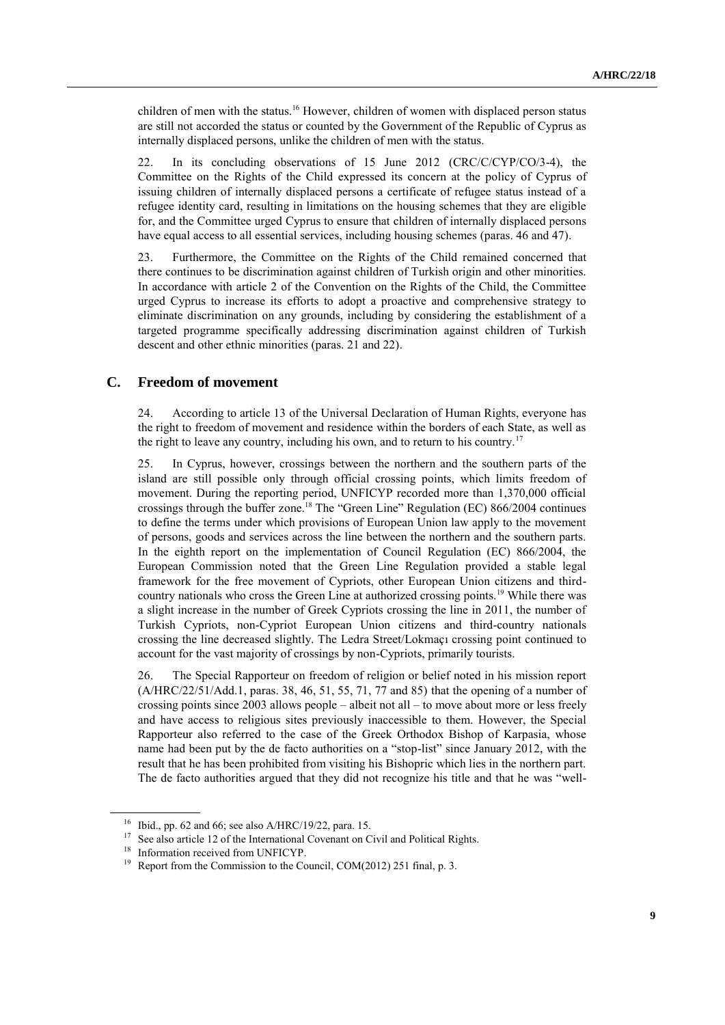children of men with the status.<sup>16</sup> However, children of women with displaced person status are still not accorded the status or counted by the Government of the Republic of Cyprus as internally displaced persons, unlike the children of men with the status.

22. In its concluding observations of 15 June 2012 (CRC/C/CYP/CO/3-4), the Committee on the Rights of the Child expressed its concern at the policy of Cyprus of issuing children of internally displaced persons a certificate of refugee status instead of a refugee identity card, resulting in limitations on the housing schemes that they are eligible for, and the Committee urged Cyprus to ensure that children of internally displaced persons have equal access to all essential services, including housing schemes (paras. 46 and 47).

23. Furthermore, the Committee on the Rights of the Child remained concerned that there continues to be discrimination against children of Turkish origin and other minorities. In accordance with article 2 of the Convention on the Rights of the Child, the Committee urged Cyprus to increase its efforts to adopt a proactive and comprehensive strategy to eliminate discrimination on any grounds, including by considering the establishment of a targeted programme specifically addressing discrimination against children of Turkish descent and other ethnic minorities (paras. 21 and 22).

## **C. Freedom of movement**

24. According to article 13 of the Universal Declaration of Human Rights, everyone has the right to freedom of movement and residence within the borders of each State, as well as the right to leave any country, including his own, and to return to his country.<sup>17</sup>

25. In Cyprus, however, crossings between the northern and the southern parts of the island are still possible only through official crossing points, which limits freedom of movement. During the reporting period, UNFICYP recorded more than 1,370,000 official crossings through the buffer zone.<sup>18</sup> The "Green Line" Regulation (EC) 866/2004 continues to define the terms under which provisions of European Union law apply to the movement of persons, goods and services across the line between the northern and the southern parts. In the eighth report on the implementation of Council Regulation (EC) 866/2004, the European Commission noted that the Green Line Regulation provided a stable legal framework for the free movement of Cypriots, other European Union citizens and thirdcountry nationals who cross the Green Line at authorized crossing points.<sup>19</sup> While there was a slight increase in the number of Greek Cypriots crossing the line in 2011, the number of Turkish Cypriots, non-Cypriot European Union citizens and third-country nationals crossing the line decreased slightly. The Ledra Street/Lokmaçı crossing point continued to account for the vast majority of crossings by non-Cypriots, primarily tourists.

26. The Special Rapporteur on freedom of religion or belief noted in his mission report (A/HRC/22/51/Add.1, paras. 38, 46, 51, 55, 71, 77 and 85) that the opening of a number of crossing points since 2003 allows people – albeit not all – to move about more or less freely and have access to religious sites previously inaccessible to them. However, the Special Rapporteur also referred to the case of the Greek Orthodox Bishop of Karpasia, whose name had been put by the de facto authorities on a "stop-list" since January 2012, with the result that he has been prohibited from visiting his Bishopric which lies in the northern part. The de facto authorities argued that they did not recognize his title and that he was "well-

<sup>&</sup>lt;sup>16</sup> Ibid., pp. 62 and 66; see also A/HRC/19/22, para. 15.

<sup>&</sup>lt;sup>17</sup> See also article 12 of the International Covenant on Civil and Political Rights.

<sup>&</sup>lt;sup>18</sup> Information received from UNFICYP.

<sup>&</sup>lt;sup>19</sup> Report from the Commission to the Council, COM(2012) 251 final, p. 3.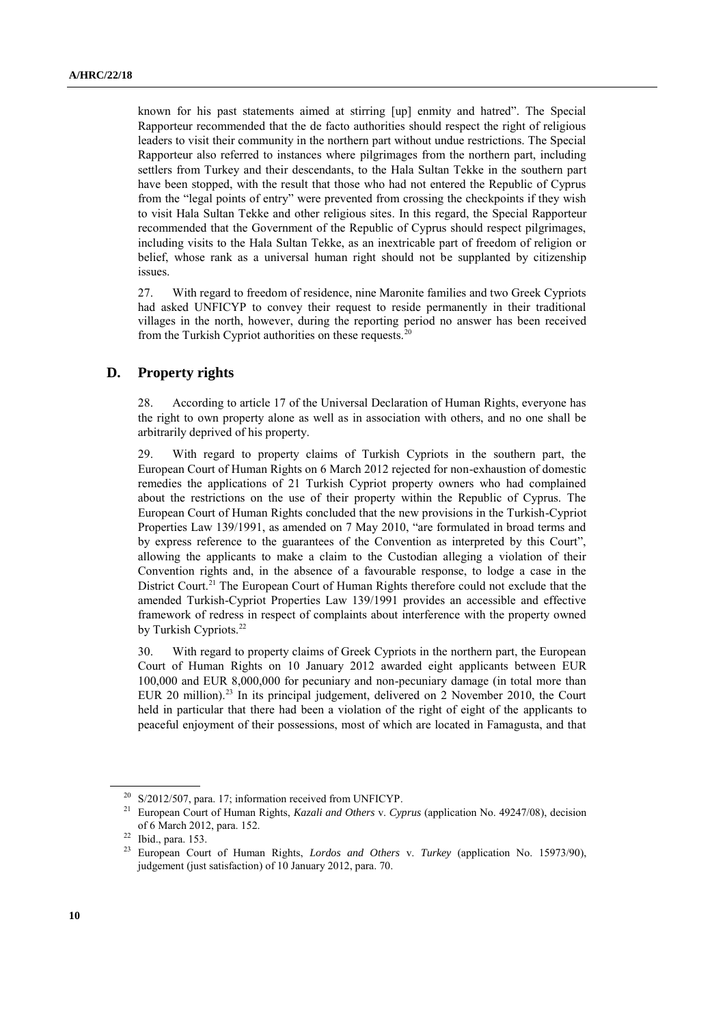known for his past statements aimed at stirring [up] enmity and hatred". The Special Rapporteur recommended that the de facto authorities should respect the right of religious leaders to visit their community in the northern part without undue restrictions. The Special Rapporteur also referred to instances where pilgrimages from the northern part, including settlers from Turkey and their descendants, to the Hala Sultan Tekke in the southern part have been stopped, with the result that those who had not entered the Republic of Cyprus from the "legal points of entry" were prevented from crossing the checkpoints if they wish to visit Hala Sultan Tekke and other religious sites. In this regard, the Special Rapporteur recommended that the Government of the Republic of Cyprus should respect pilgrimages, including visits to the Hala Sultan Tekke, as an inextricable part of freedom of religion or belief, whose rank as a universal human right should not be supplanted by citizenship issues.

27. With regard to freedom of residence, nine Maronite families and two Greek Cypriots had asked UNFICYP to convey their request to reside permanently in their traditional villages in the north, however, during the reporting period no answer has been received from the Turkish Cypriot authorities on these requests.<sup>2</sup>

### **D. Property rights**

28. According to article 17 of the Universal Declaration of Human Rights, everyone has the right to own property alone as well as in association with others, and no one shall be arbitrarily deprived of his property.

29. With regard to property claims of Turkish Cypriots in the southern part, the European Court of Human Rights on 6 March 2012 rejected for non-exhaustion of domestic remedies the applications of 21 Turkish Cypriot property owners who had complained about the restrictions on the use of their property within the Republic of Cyprus. The European Court of Human Rights concluded that the new provisions in the Turkish-Cypriot Properties Law 139/1991, as amended on 7 May 2010, "are formulated in broad terms and by express reference to the guarantees of the Convention as interpreted by this Court", allowing the applicants to make a claim to the Custodian alleging a violation of their Convention rights and, in the absence of a favourable response, to lodge a case in the District Court.<sup>21</sup> The European Court of Human Rights therefore could not exclude that the amended Turkish-Cypriot Properties Law 139/1991 provides an accessible and effective framework of redress in respect of complaints about interference with the property owned by Turkish Cypriots.<sup>22</sup>

30. With regard to property claims of Greek Cypriots in the northern part, the European Court of Human Rights on 10 January 2012 awarded eight applicants between EUR 100,000 and EUR 8,000,000 for pecuniary and non-pecuniary damage (in total more than EUR 20 million).<sup>23</sup> In its principal judgement, delivered on 2 November 2010, the Court held in particular that there had been a violation of the right of eight of the applicants to peaceful enjoyment of their possessions, most of which are located in Famagusta, and that

<sup>&</sup>lt;sup>20</sup> S/2012/507, para. 17; information received from UNFICYP.

<sup>21</sup> European Court of Human Rights, *Kazali and Others* v. *Cyprus* (application No. 49247/08), decision of 6 March 2012, para. 152.

 $^{22}$  Ibid., para. 153.<br> $^{23}$  Europeen Cour

<sup>23</sup> European Court of Human Rights, *Lordos and Others* v. *Turkey* (application No. 15973/90), judgement (just satisfaction) of 10 January 2012, para. 70.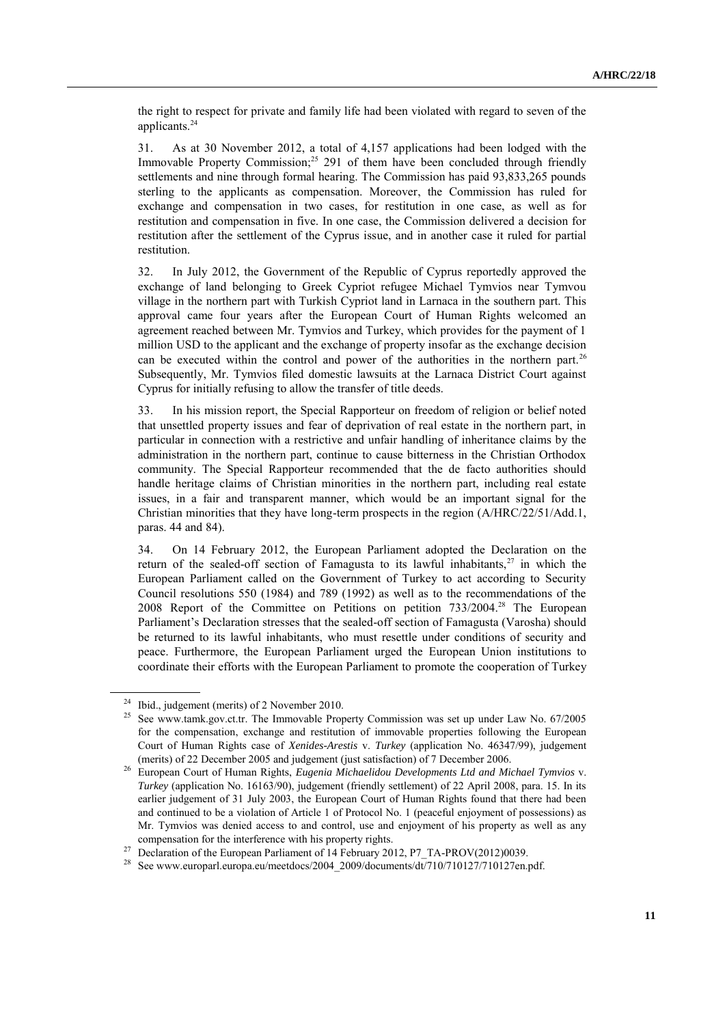the right to respect for private and family life had been violated with regard to seven of the applicants.<sup>24</sup>

31. As at 30 November 2012, a total of 4,157 applications had been lodged with the Immovable Property Commission; <sup>25</sup> 291 of them have been concluded through friendly settlements and nine through formal hearing. The Commission has paid 93,833,265 pounds sterling to the applicants as compensation. Moreover, the Commission has ruled for exchange and compensation in two cases, for restitution in one case, as well as for restitution and compensation in five. In one case, the Commission delivered a decision for restitution after the settlement of the Cyprus issue, and in another case it ruled for partial restitution.

32. In July 2012, the Government of the Republic of Cyprus reportedly approved the exchange of land belonging to Greek Cypriot refugee Michael Tymvios near Tymvou village in the northern part with Turkish Cypriot land in Larnaca in the southern part. This approval came four years after the European Court of Human Rights welcomed an agreement reached between Mr. Tymvios and Turkey, which provides for the payment of 1 million USD to the applicant and the exchange of property insofar as the exchange decision can be executed within the control and power of the authorities in the northern part.<sup>26</sup> Subsequently, Mr. Tymvios filed domestic lawsuits at the Larnaca District Court against Cyprus for initially refusing to allow the transfer of title deeds.

33. In his mission report, the Special Rapporteur on freedom of religion or belief noted that unsettled property issues and fear of deprivation of real estate in the northern part, in particular in connection with a restrictive and unfair handling of inheritance claims by the administration in the northern part, continue to cause bitterness in the Christian Orthodox community. The Special Rapporteur recommended that the de facto authorities should handle heritage claims of Christian minorities in the northern part, including real estate issues, in a fair and transparent manner, which would be an important signal for the Christian minorities that they have long-term prospects in the region (A/HRC/22/51/Add.1, paras. 44 and 84).

34. On 14 February 2012, the European Parliament adopted the Declaration on the return of the sealed-off section of Famagusta to its lawful inhabitants, $27$  in which the European Parliament called on the Government of Turkey to act according to Security Council resolutions 550 (1984) and 789 (1992) as well as to the recommendations of the 2008 Report of the Committee on Petitions on petition 733/2004.<sup>28</sup> The European Parliament's Declaration stresses that the sealed-off section of Famagusta (Varosha) should be returned to its lawful inhabitants, who must resettle under conditions of security and peace. Furthermore, the European Parliament urged the European Union institutions to coordinate their efforts with the European Parliament to promote the cooperation of Turkey

<sup>&</sup>lt;sup>24</sup> Ibid., judgement (merits) of 2 November 2010.

<sup>25</sup> See www.tamk.gov.ct.tr. The Immovable Property Commission was set up under Law No. 67/2005 for the compensation, exchange and restitution of immovable properties following the European Court of Human Rights case of *Xenides-Arestis* v. *Turkey* (application No. 46347/99), judgement (merits) of 22 December 2005 and judgement (just satisfaction) of 7 December 2006.

<sup>26</sup> European Court of Human Rights, *Eugenia Michaelidou Developments Ltd and Michael Tymvios* v. *Turkey* (application No. 16163/90), judgement (friendly settlement) of 22 April 2008, para. 15. In its earlier judgement of 31 July 2003, the European Court of Human Rights found that there had been and continued to be a violation of Article 1 of Protocol No. 1 (peaceful enjoyment of possessions) as Mr. Tymvios was denied access to and control, use and enjoyment of his property as well as any compensation for the interference with his property rights.

<sup>&</sup>lt;sup>27</sup> Declaration of the European Parliament of 14 February 2012, P7\_TA-PROV(2012)0039.

<sup>&</sup>lt;sup>28</sup> See www.europarl.europa.eu/meetdocs/2004\_2009/documents/dt/710/710127/710127en.pdf.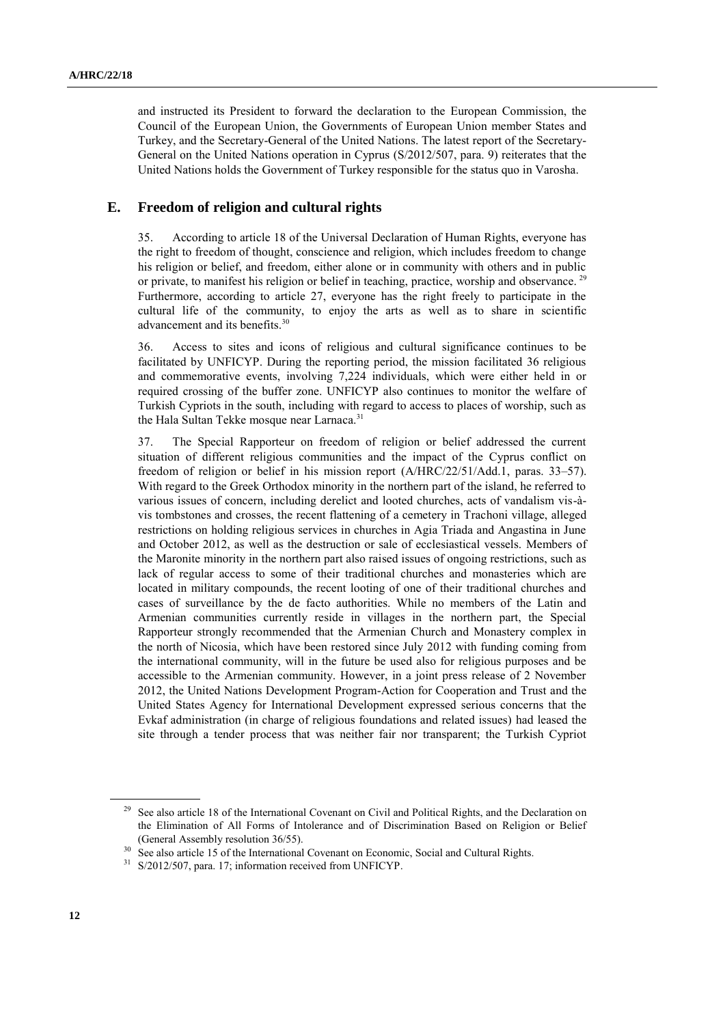and instructed its President to forward the declaration to the European Commission, the Council of the European Union, the Governments of European Union member States and Turkey, and the Secretary-General of the United Nations. The latest report of the Secretary-General on the United Nations operation in Cyprus (S/2012/507, para. 9) reiterates that the United Nations holds the Government of Turkey responsible for the status quo in Varosha.

### **E. Freedom of religion and cultural rights**

35. According to article 18 of the Universal Declaration of Human Rights, everyone has the right to freedom of thought, conscience and religion, which includes freedom to change his religion or belief, and freedom, either alone or in community with others and in public or private, to manifest his religion or belief in teaching, practice, worship and observance.<sup>29</sup> Furthermore, according to article 27, everyone has the right freely to participate in the cultural life of the community, to enjoy the arts as well as to share in scientific advancement and its benefits.<sup>30</sup>

36. Access to sites and icons of religious and cultural significance continues to be facilitated by UNFICYP. During the reporting period, the mission facilitated 36 religious and commemorative events, involving 7,224 individuals, which were either held in or required crossing of the buffer zone. UNFICYP also continues to monitor the welfare of Turkish Cypriots in the south, including with regard to access to places of worship, such as the Hala Sultan Tekke mosque near Larnaca.<sup>31</sup>

37. The Special Rapporteur on freedom of religion or belief addressed the current situation of different religious communities and the impact of the Cyprus conflict on freedom of religion or belief in his mission report (A/HRC/22/51/Add.1, paras. 33–57). With regard to the Greek Orthodox minority in the northern part of the island, he referred to various issues of concern, including derelict and looted churches, acts of vandalism vis-àvis tombstones and crosses, the recent flattening of a cemetery in Trachoni village, alleged restrictions on holding religious services in churches in Agia Triada and Angastina in June and October 2012, as well as the destruction or sale of ecclesiastical vessels. Members of the Maronite minority in the northern part also raised issues of ongoing restrictions, such as lack of regular access to some of their traditional churches and monasteries which are located in military compounds, the recent looting of one of their traditional churches and cases of surveillance by the de facto authorities. While no members of the Latin and Armenian communities currently reside in villages in the northern part, the Special Rapporteur strongly recommended that the Armenian Church and Monastery complex in the north of Nicosia, which have been restored since July 2012 with funding coming from the international community, will in the future be used also for religious purposes and be accessible to the Armenian community. However, in a joint press release of 2 November 2012, the United Nations Development Program-Action for Cooperation and Trust and the United States Agency for International Development expressed serious concerns that the Evkaf administration (in charge of religious foundations and related issues) had leased the site through a tender process that was neither fair nor transparent; the Turkish Cypriot

<sup>&</sup>lt;sup>29</sup> See also article 18 of the International Covenant on Civil and Political Rights, and the Declaration on the Elimination of All Forms of Intolerance and of Discrimination Based on Religion or Belief (General Assembly resolution 36/55).

<sup>&</sup>lt;sup>30</sup> See also article 15 of the International Covenant on Economic, Social and Cultural Rights.

<sup>31</sup> S/2012/507, para. 17; information received from UNFICYP.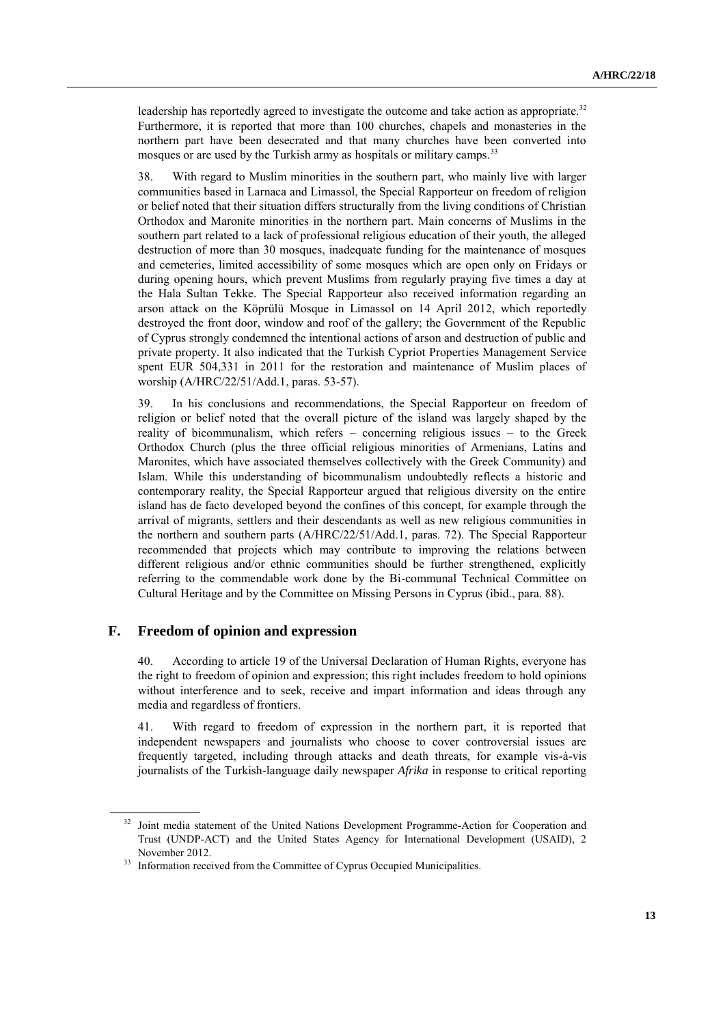leadership has reportedly agreed to investigate the outcome and take action as appropriate.<sup>32</sup> Furthermore, it is reported that more than 100 churches, chapels and monasteries in the northern part have been desecrated and that many churches have been converted into mosques or are used by the Turkish army as hospitals or military camps.<sup>33</sup>

38. With regard to Muslim minorities in the southern part, who mainly live with larger communities based in Larnaca and Limassol, the Special Rapporteur on freedom of religion or belief noted that their situation differs structurally from the living conditions of Christian Orthodox and Maronite minorities in the northern part. Main concerns of Muslims in the southern part related to a lack of professional religious education of their youth, the alleged destruction of more than 30 mosques, inadequate funding for the maintenance of mosques and cemeteries, limited accessibility of some mosques which are open only on Fridays or during opening hours, which prevent Muslims from regularly praying five times a day at the Hala Sultan Tekke. The Special Rapporteur also received information regarding an arson attack on the Köprülü Mosque in Limassol on 14 April 2012, which reportedly destroyed the front door, window and roof of the gallery; the Government of the Republic of Cyprus strongly condemned the intentional actions of arson and destruction of public and private property. It also indicated that the Turkish Cypriot Properties Management Service spent EUR 504,331 in 2011 for the restoration and maintenance of Muslim places of worship (A/HRC/22/51/Add.1, paras. 53-57).

39. In his conclusions and recommendations, the Special Rapporteur on freedom of religion or belief noted that the overall picture of the island was largely shaped by the reality of bicommunalism, which refers – concerning religious issues – to the Greek Orthodox Church (plus the three official religious minorities of Armenians, Latins and Maronites, which have associated themselves collectively with the Greek Community) and Islam. While this understanding of bicommunalism undoubtedly reflects a historic and contemporary reality, the Special Rapporteur argued that religious diversity on the entire island has de facto developed beyond the confines of this concept, for example through the arrival of migrants, settlers and their descendants as well as new religious communities in the northern and southern parts (A/HRC/22/51/Add.1, paras. 72). The Special Rapporteur recommended that projects which may contribute to improving the relations between different religious and/or ethnic communities should be further strengthened, explicitly referring to the commendable work done by the Bi-communal Technical Committee on Cultural Heritage and by the Committee on Missing Persons in Cyprus (ibid., para. 88).

#### **F. Freedom of opinion and expression**

40. According to article 19 of the Universal Declaration of Human Rights, everyone has the right to freedom of opinion and expression; this right includes freedom to hold opinions without interference and to seek, receive and impart information and ideas through any media and regardless of frontiers.

41. With regard to freedom of expression in the northern part, it is reported that independent newspapers and journalists who choose to cover controversial issues are frequently targeted, including through attacks and death threats, for example vis-à-vis journalists of the Turkish-language daily newspaper *Afrika* in response to critical reporting

<sup>&</sup>lt;sup>32</sup> Joint media statement of the United Nations Development Programme-Action for Cooperation and Trust (UNDP-ACT) and the United States Agency for International Development (USAID), 2 November 2012.

<sup>&</sup>lt;sup>33</sup> Information received from the Committee of Cyprus Occupied Municipalities.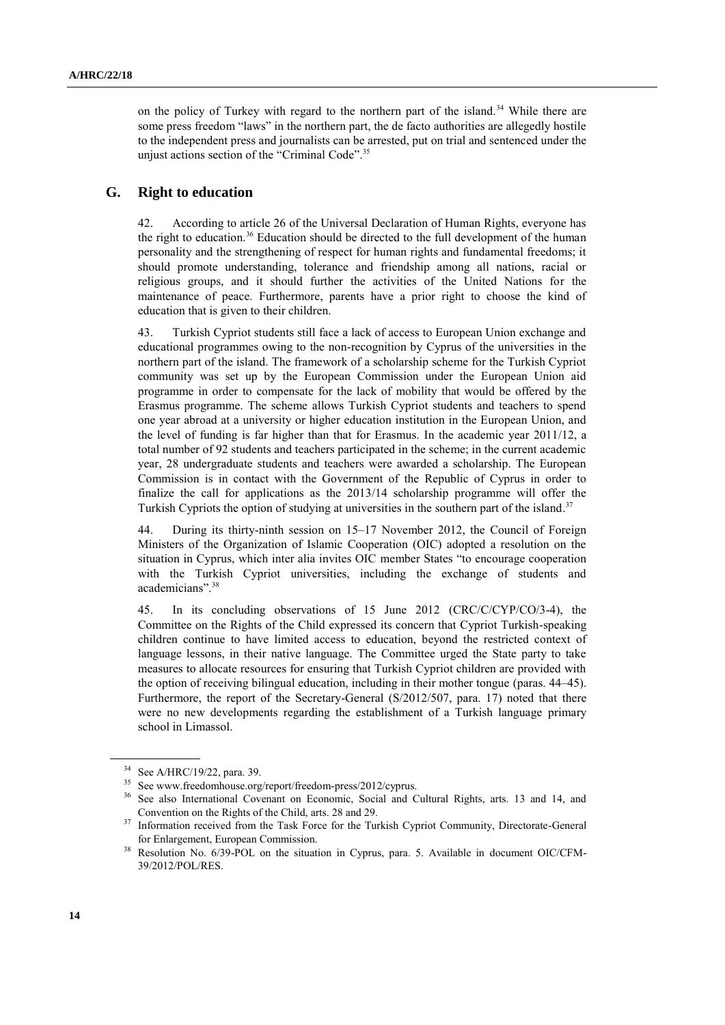on the policy of Turkey with regard to the northern part of the island.<sup>34</sup> While there are some press freedom "laws" in the northern part, the de facto authorities are allegedly hostile to the independent press and journalists can be arrested, put on trial and sentenced under the unjust actions section of the "Criminal Code".<sup>35</sup>

## **G. Right to education**

42. According to article 26 of the Universal Declaration of Human Rights, everyone has the right to education.<sup>36</sup> Education should be directed to the full development of the human personality and the strengthening of respect for human rights and fundamental freedoms; it should promote understanding, tolerance and friendship among all nations, racial or religious groups, and it should further the activities of the United Nations for the maintenance of peace. Furthermore, parents have a prior right to choose the kind of education that is given to their children.

43. Turkish Cypriot students still face a lack of access to European Union exchange and educational programmes owing to the non-recognition by Cyprus of the universities in the northern part of the island. The framework of a scholarship scheme for the Turkish Cypriot community was set up by the European Commission under the European Union aid programme in order to compensate for the lack of mobility that would be offered by the Erasmus programme. The scheme allows Turkish Cypriot students and teachers to spend one year abroad at a university or higher education institution in the European Union, and the level of funding is far higher than that for Erasmus. In the academic year 2011/12, a total number of 92 students and teachers participated in the scheme; in the current academic year, 28 undergraduate students and teachers were awarded a scholarship. The European Commission is in contact with the Government of the Republic of Cyprus in order to finalize the call for applications as the 2013/14 scholarship programme will offer the Turkish Cypriots the option of studying at universities in the southern part of the island.<sup>37</sup>

44. During its thirty-ninth session on 15–17 November 2012, the Council of Foreign Ministers of the Organization of Islamic Cooperation (OIC) adopted a resolution on the situation in Cyprus, which inter alia invites OIC member States "to encourage cooperation with the Turkish Cypriot universities, including the exchange of students and academicians".<sup>38</sup>

45. In its concluding observations of 15 June 2012 (CRC/C/CYP/CO/3-4), the Committee on the Rights of the Child expressed its concern that Cypriot Turkish-speaking children continue to have limited access to education, beyond the restricted context of language lessons, in their native language. The Committee urged the State party to take measures to allocate resources for ensuring that Turkish Cypriot children are provided with the option of receiving bilingual education, including in their mother tongue (paras. 44–45). Furthermore, the report of the Secretary-General (S/2012/507, para. 17) noted that there were no new developments regarding the establishment of a Turkish language primary school in Limassol.

<sup>34</sup> See A/HRC/19/22, para. 39.

<sup>35</sup> See www.freedomhouse.org/report/freedom-press/2012/cyprus.

<sup>&</sup>lt;sup>36</sup> See also International Covenant on Economic, Social and Cultural Rights, arts. 13 and 14, and Convention on the Rights of the Child, arts. 28 and 29.

<sup>&</sup>lt;sup>37</sup> Information received from the Task Force for the Turkish Cypriot Community, Directorate-General for Enlargement, European Commission.

<sup>&</sup>lt;sup>38</sup> Resolution No. 6/39-POL on the situation in Cyprus, para. 5. Available in document OIC/CFM-39/2012/POL/RES.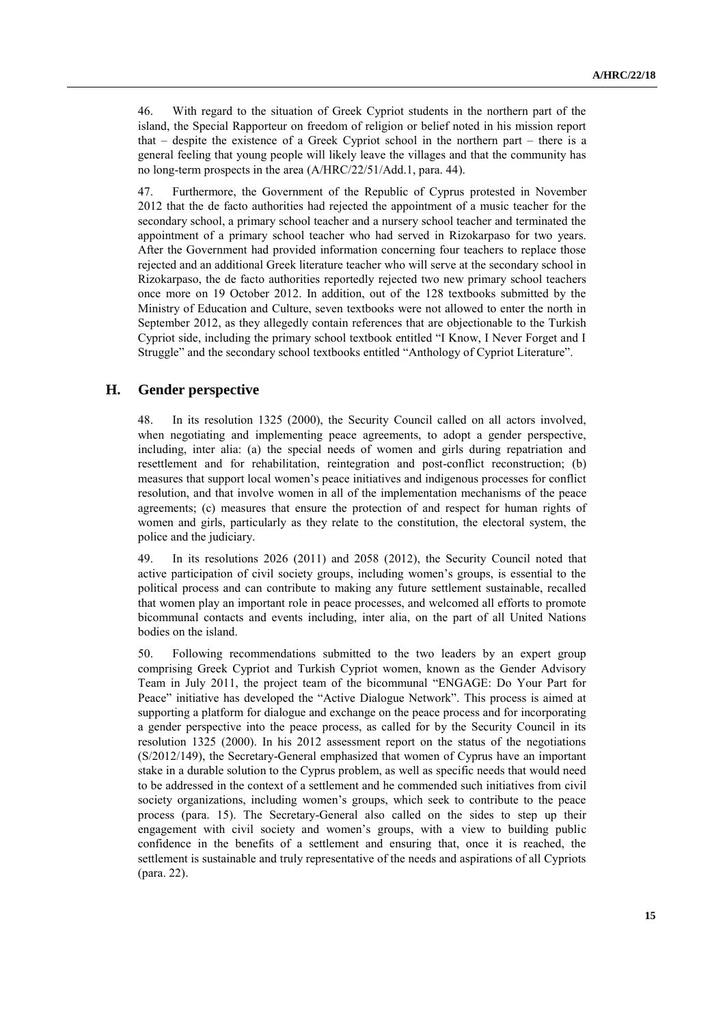46. With regard to the situation of Greek Cypriot students in the northern part of the island, the Special Rapporteur on freedom of religion or belief noted in his mission report that – despite the existence of a Greek Cypriot school in the northern part – there is a general feeling that young people will likely leave the villages and that the community has no long-term prospects in the area (A/HRC/22/51/Add.1, para. 44).

47. Furthermore, the Government of the Republic of Cyprus protested in November 2012 that the de facto authorities had rejected the appointment of a music teacher for the secondary school, a primary school teacher and a nursery school teacher and terminated the appointment of a primary school teacher who had served in Rizokarpaso for two years. After the Government had provided information concerning four teachers to replace those rejected and an additional Greek literature teacher who will serve at the secondary school in Rizokarpaso, the de facto authorities reportedly rejected two new primary school teachers once more on 19 October 2012. In addition, out of the 128 textbooks submitted by the Ministry of Education and Culture, seven textbooks were not allowed to enter the north in September 2012, as they allegedly contain references that are objectionable to the Turkish Cypriot side, including the primary school textbook entitled "I Know, I Never Forget and I Struggle" and the secondary school textbooks entitled "Anthology of Cypriot Literature".

## **H. Gender perspective**

48. In its resolution 1325 (2000), the Security Council called on all actors involved, when negotiating and implementing peace agreements, to adopt a gender perspective, including, inter alia: (a) the special needs of women and girls during repatriation and resettlement and for rehabilitation, reintegration and post-conflict reconstruction; (b) measures that support local women's peace initiatives and indigenous processes for conflict resolution, and that involve women in all of the implementation mechanisms of the peace agreements; (c) measures that ensure the protection of and respect for human rights of women and girls, particularly as they relate to the constitution, the electoral system, the police and the judiciary.

49. In its resolutions 2026 (2011) and 2058 (2012), the Security Council noted that active participation of civil society groups, including women's groups, is essential to the political process and can contribute to making any future settlement sustainable, recalled that women play an important role in peace processes, and welcomed all efforts to promote bicommunal contacts and events including, inter alia, on the part of all United Nations bodies on the island.

50. Following recommendations submitted to the two leaders by an expert group comprising Greek Cypriot and Turkish Cypriot women, known as the Gender Advisory Team in July 2011, the project team of the bicommunal "ENGAGE: Do Your Part for Peace" initiative has developed the "Active Dialogue Network". This process is aimed at supporting a platform for dialogue and exchange on the peace process and for incorporating a gender perspective into the peace process, as called for by the Security Council in its resolution 1325 (2000). In his 2012 assessment report on the status of the negotiations (S/2012/149), the Secretary-General emphasized that women of Cyprus have an important stake in a durable solution to the Cyprus problem, as well as specific needs that would need to be addressed in the context of a settlement and he commended such initiatives from civil society organizations, including women's groups, which seek to contribute to the peace process (para. 15). The Secretary-General also called on the sides to step up their engagement with civil society and women's groups, with a view to building public confidence in the benefits of a settlement and ensuring that, once it is reached, the settlement is sustainable and truly representative of the needs and aspirations of all Cypriots (para. 22).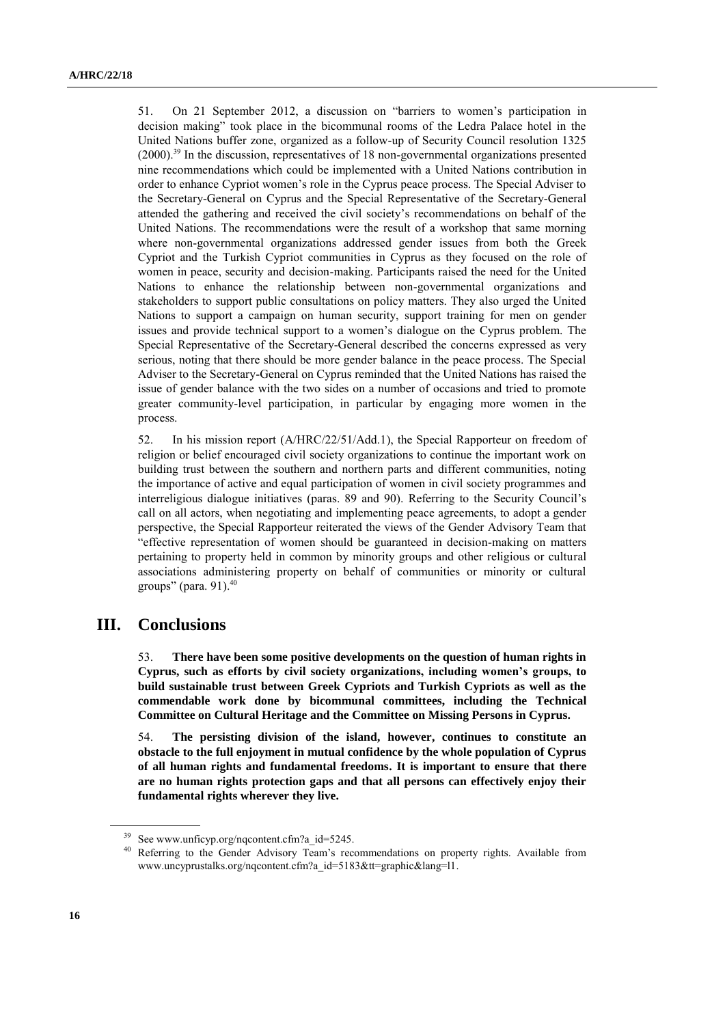51. On 21 September 2012, a discussion on "barriers to women's participation in decision making" took place in the bicommunal rooms of the Ledra Palace hotel in the United Nations buffer zone, organized as a follow-up of Security Council resolution 1325  $(2000)$ <sup>39</sup> In the discussion, representatives of 18 non-governmental organizations presented nine recommendations which could be implemented with a United Nations contribution in order to enhance Cypriot women's role in the Cyprus peace process. The Special Adviser to the Secretary-General on Cyprus and the Special Representative of the Secretary-General attended the gathering and received the civil society's recommendations on behalf of the United Nations. The recommendations were the result of a workshop that same morning where non-governmental organizations addressed gender issues from both the Greek Cypriot and the Turkish Cypriot communities in Cyprus as they focused on the role of women in peace, security and decision-making. Participants raised the need for the United Nations to enhance the relationship between non-governmental organizations and stakeholders to support public consultations on policy matters. They also urged the United Nations to support a campaign on human security, support training for men on gender issues and provide technical support to a women's dialogue on the Cyprus problem. The Special Representative of the Secretary-General described the concerns expressed as very serious, noting that there should be more gender balance in the peace process. The Special Adviser to the Secretary-General on Cyprus reminded that the United Nations has raised the issue of gender balance with the two sides on a number of occasions and tried to promote greater community-level participation, in particular by engaging more women in the process.

52. In his mission report (A/HRC/22/51/Add.1), the Special Rapporteur on freedom of religion or belief encouraged civil society organizations to continue the important work on building trust between the southern and northern parts and different communities, noting the importance of active and equal participation of women in civil society programmes and interreligious dialogue initiatives (paras. 89 and 90). Referring to the Security Council's call on all actors, when negotiating and implementing peace agreements, to adopt a gender perspective, the Special Rapporteur reiterated the views of the Gender Advisory Team that "effective representation of women should be guaranteed in decision-making on matters pertaining to property held in common by minority groups and other religious or cultural associations administering property on behalf of communities or minority or cultural groups" (para. 91). 40

## **III. Conclusions**

53. **There have been some positive developments on the question of human rights in Cyprus, such as efforts by civil society organizations, including women's groups, to build sustainable trust between Greek Cypriots and Turkish Cypriots as well as the commendable work done by bicommunal committees, including the Technical Committee on Cultural Heritage and the Committee on Missing Persons in Cyprus.** 

54. **The persisting division of the island, however, continues to constitute an obstacle to the full enjoyment in mutual confidence by the whole population of Cyprus of all human rights and fundamental freedoms. It is important to ensure that there are no human rights protection gaps and that all persons can effectively enjoy their fundamental rights wherever they live.**

See www.unficyp.org/nqcontent.cfm?a\_id=5245.

<sup>&</sup>lt;sup>40</sup> Referring to the Gender Advisory Team's recommendations on property rights. Available from [www.uncyprustalks.org/nqcontent.cfm?a\\_id=5183&tt=graphic&lang=l1.](http://www.uncyprustalks.org/nqcontent.cfm?a_id=5183&tt=graphic&lang=l1)